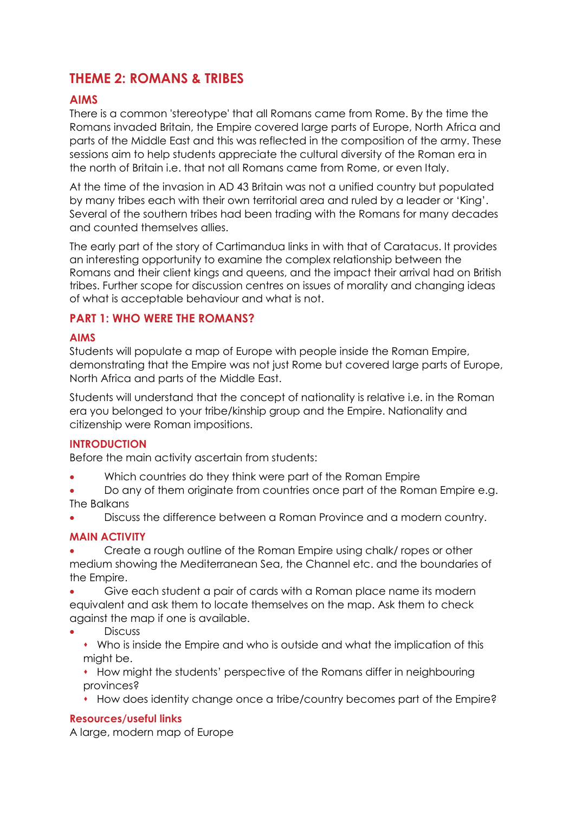# **THEME 2: ROMANS & TRIBES**

## **AIMS**

There is a common 'stereotype' that all Romans came from Rome. By the time the Romans invaded Britain, the Empire covered large parts of Europe, North Africa and parts of the Middle East and this was reflected in the composition of the army. These sessions aim to help students appreciate the cultural diversity of the Roman era in the north of Britain i.e. that not all Romans came from Rome, or even Italy.

At the time of the invasion in AD 43 Britain was not a unified country but populated by many tribes each with their own territorial area and ruled by a leader or 'King'. Several of the southern tribes had been trading with the Romans for many decades and counted themselves allies.

The early part of the story of Cartimandua links in with that of Caratacus. It provides an interesting opportunity to examine the complex relationship between the Romans and their client kings and queens, and the impact their arrival had on British tribes. Further scope for discussion centres on issues of morality and changing ideas of what is acceptable behaviour and what is not.

## **PART 1: WHO WERE THE ROMANS?**

#### **AIMS**

Students will populate a map of Europe with people inside the Roman Empire, demonstrating that the Empire was not just Rome but covered large parts of Europe, North Africa and parts of the Middle East.

Students will understand that the concept of nationality is relative i.e. in the Roman era you belonged to your tribe/kinship group and the Empire. Nationality and citizenship were Roman impositions.

#### **INTRODUCTION**

Before the main activity ascertain from students:

- Which countries do they think were part of the Roman Empire
- Do any of them originate from countries once part of the Roman Empire e.g. The Balkans
- Discuss the difference between a Roman Province and a modern country.

## **MAIN ACTIVITY**

 Create a rough outline of the Roman Empire using chalk/ ropes or other medium showing the Mediterranean Sea, the Channel etc. and the boundaries of the Empire.

- Give each student a pair of cards with a Roman place name its modern equivalent and ask them to locate themselves on the map. Ask them to check against the map if one is available.
- **Discuss** 
	- Who is inside the Empire and who is outside and what the implication of this might be.

 $*$  How might the students' perspective of the Romans differ in neighbouring provinces?

How does identity change once a tribe/country becomes part of the Empire?

## **Resources/useful links**

A large, modern map of Europe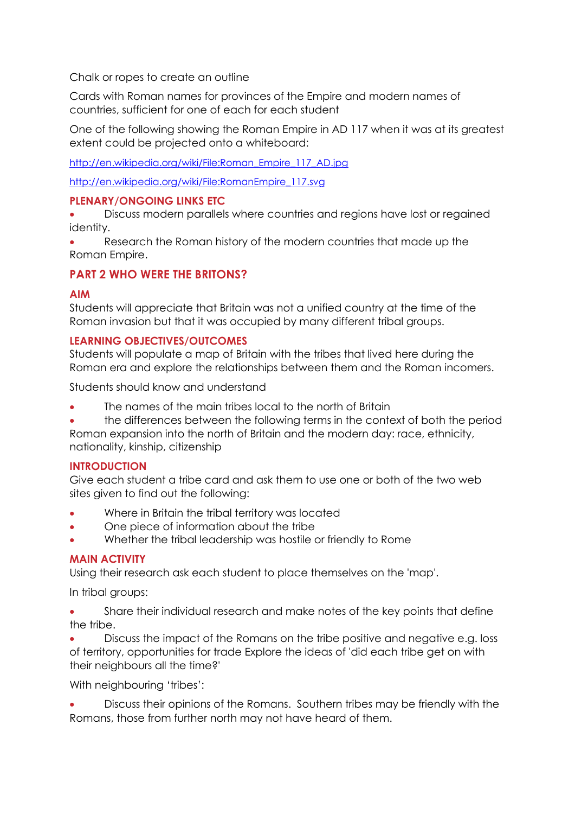Chalk or ropes to create an outline

Cards with Roman names for provinces of the Empire and modern names of countries, sufficient for one of each for each student

One of the following showing the Roman Empire in AD 117 when it was at its greatest extent could be projected onto a whiteboard:

[http://en.wikipedia.org/wiki/File:Roman\\_Empire\\_117\\_AD.jpg](http://en.wikipedia.org/wiki/File:Roman_Empire_117_AD.jpg)

[http://en.wikipedia.org/wiki/File:RomanEmpire\\_117.svg](http://en.wikipedia.org/wiki/File:RomanEmpire_117.svg)

## **PLENARY/ONGOING LINKS ETC**

 Discuss modern parallels where countries and regions have lost or regained identity.

 Research the Roman history of the modern countries that made up the Roman Empire.

## **PART 2 WHO WERE THE BRITONS?**

#### **AIM**

Students will appreciate that Britain was not a unified country at the time of the Roman invasion but that it was occupied by many different tribal groups.

## **LEARNING OBJECTIVES/OUTCOMES**

Students will populate a map of Britain with the tribes that lived here during the Roman era and explore the relationships between them and the Roman incomers.

Students should know and understand

- The names of the main tribes local to the north of Britain
- the differences between the following terms in the context of both the period Roman expansion into the north of Britain and the modern day: race, ethnicity,

nationality, kinship, citizenship

#### **INTRODUCTION**

Give each student a tribe card and ask them to use one or both of the two web sites given to find out the following:

- Where in Britain the tribal territory was located
- One piece of information about the tribe
- Whether the tribal leadership was hostile or friendly to Rome

## **MAIN ACTIVITY**

Using their research ask each student to place themselves on the 'map'.

In tribal groups:

 Share their individual research and make notes of the key points that define the tribe.

 Discuss the impact of the Romans on the tribe positive and negative e.g. loss of territory, opportunities for trade Explore the ideas of 'did each tribe get on with their neighbours all the time?'

With neighbouring 'tribes':

 Discuss their opinions of the Romans. Southern tribes may be friendly with the Romans, those from further north may not have heard of them.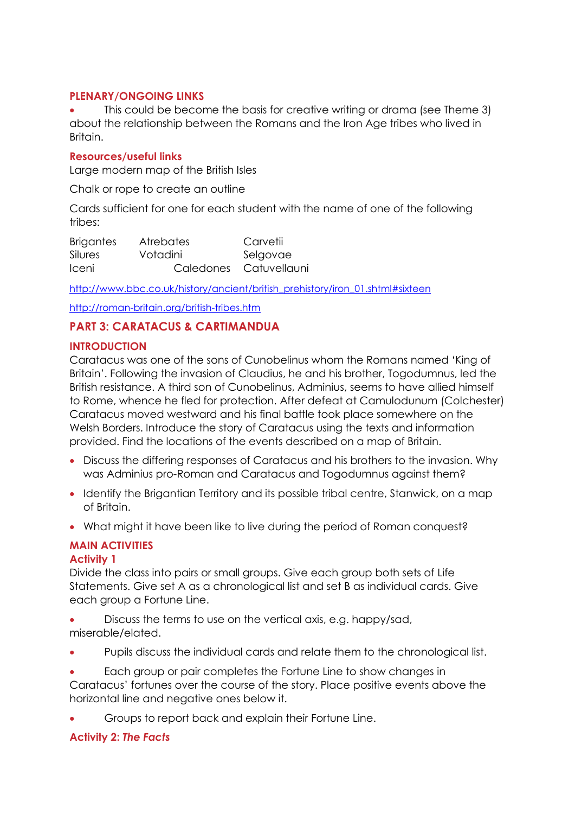#### **PLENARY/ONGOING LINKS**

 This could be become the basis for creative writing or drama (see Theme 3) about the relationship between the Romans and the Iron Age tribes who lived in Britain.

#### **Resources/useful links**

Large modern map of the British Isles

Chalk or rope to create an outline

Cards sufficient for one for each student with the name of one of the following tribes:

Brigantes Atrebates Carvetii Silures Votadini Selgovae Iceni Caledones Catuvellauni

[http://www.bbc.co.uk/history/ancient/british\\_prehistory/iron\\_01.shtml#sixteen](http://www.bbc.co.uk/history/ancient/british_prehistory/iron_01.shtml#sixteen)

<http://roman-britain.org/british-tribes.htm>

## **PART 3: CARATACUS & CARTIMANDUA**

#### **INTRODUCTION**

Caratacus was one of the sons of Cunobelinus whom the Romans named 'King of Britain'. Following the invasion of Claudius, he and his brother, Togodumnus, led the British resistance. A third son of Cunobelinus, Adminius, seems to have allied himself to Rome, whence he fled for protection. After defeat at Camulodunum (Colchester) Caratacus moved westward and his final battle took place somewhere on the Welsh Borders. Introduce the story of Caratacus using the texts and information provided. Find the locations of the events described on a map of Britain.

- Discuss the differing responses of Caratacus and his brothers to the invasion. Why was Adminius pro-Roman and Caratacus and Togodumnus against them?
- Identify the Brigantian Territory and its possible tribal centre, Stanwick, on a map of Britain.
- What might it have been like to live during the period of Roman conquest?

## **MAIN ACTIVITIES**

#### **Activity 1**

Divide the class into pairs or small groups. Give each group both sets of Life Statements. Give set A as a chronological list and set B as individual cards. Give each group a Fortune Line.

- Discuss the terms to use on the vertical axis, e.g. happy/sad, miserable/elated.
- Pupils discuss the individual cards and relate them to the chronological list.
- Each group or pair completes the Fortune Line to show changes in Caratacus' fortunes over the course of the story. Place positive events above the horizontal line and negative ones below it.
- Groups to report back and explain their Fortune Line.

## **Activity 2:** *The Facts*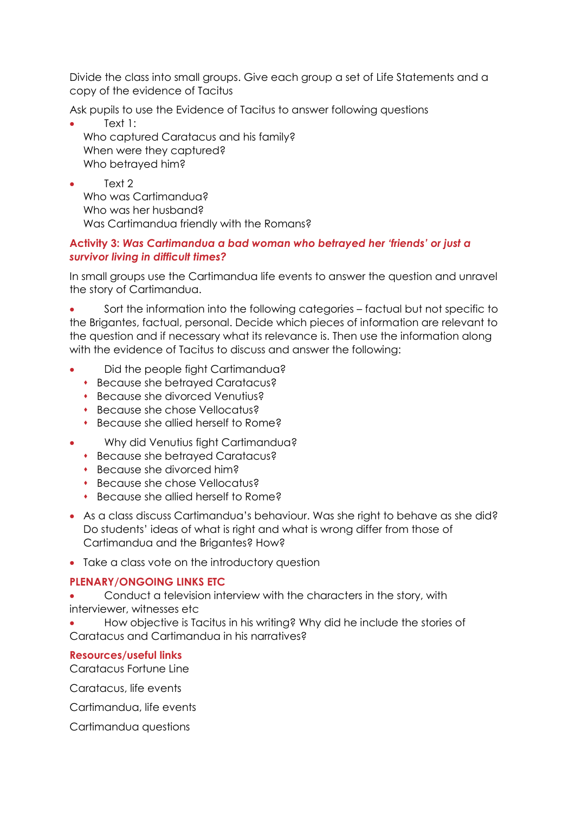Divide the class into small groups. Give each group a set of Life Statements and a copy of the evidence of Tacitus

Ask pupils to use the Evidence of Tacitus to answer following questions

 Text 1: Who captured Caratacus and his family? When were they captured? Who betrayed him?

 Text 2 Who was Cartimandua? Who was her husband? Was Cartimandua friendly with the Romans?

## **Activity 3:** *Was Cartimandua a bad woman who betrayed her 'friends' or just a survivor living in difficult times?*

In small groups use the Cartimandua life events to answer the question and unravel the story of Cartimandua.

 Sort the information into the following categories – factual but not specific to the Brigantes, factual, personal. Decide which pieces of information are relevant to the question and if necessary what its relevance is. Then use the information along with the evidence of Tacitus to discuss and answer the following:

- Did the people fight Cartimandua?
	- Because she betrayed Caratacus?
	- **Because she divorced Venutius?**
	- Because she chose Vellocatus?
	- **Because she allied herself to Rome?**
- Why did Venutius fight Cartimandua?
	- Because she betrayed Caratacus?
	- Because she divorced him?
	- Because she chose Vellocatus?
	- **Because she allied herself to Rome?**
- As a class discuss Cartimandua's behaviour. Was she right to behave as she did? Do students' ideas of what is right and what is wrong differ from those of Cartimandua and the Brigantes? How?
- Take a class vote on the introductory question

## **PLENARY/ONGOING LINKS ETC**

 Conduct a television interview with the characters in the story, with interviewer, witnesses etc

 How objective is Tacitus in his writing? Why did he include the stories of Caratacus and Cartimandua in his narratives?

#### **Resources/useful links**

Caratacus Fortune Line

Caratacus, life events

Cartimandua, life events

Cartimandua questions